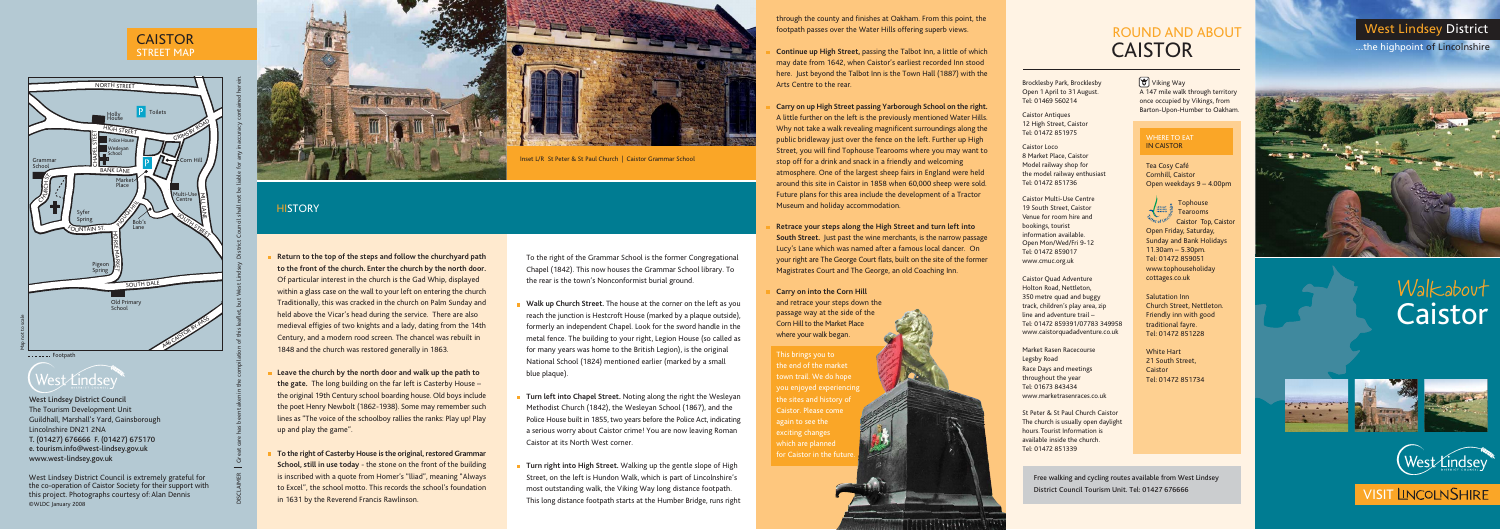# Walkabout Caistor







# **VISIT LINCOLNSHIRE**

## West Lindsey District

...the highpoint of Lincolnshire





## **HISTORY**

ROUND AND ABOUT

CAISTOR

To the right of the Grammar School is the former Congregational Chapel (1842). This now houses the Grammar School library. To the rear is the town's Nonconformist burial ground.

- **Walk up Church Street.** The house at the corner on the left as you reach the junction is Hestcroft House (marked by a plaque outside), formerly an independent Chapel. Look for the sword handle in the metal fence. The building to your right, Legion House (so called as for many years was home to the British Legion), is the original National School (1824) mentioned earlier (marked by a small blue plaque).
- **Turn left into Chapel Street.** Noting along the right the Wesleyan Methodist Church (1842), the Wesleyan School (1867), and the Police House built in 1855, two years before the Police Act, indicating a serious worry about Caistor crime! You are now leaving Roman Caistor at its North West corner.
- **Turn right into High Street.** Walking up the gentle slope of High Street, on the left is Hundon Walk, which is part of Lincolnshire's most outstanding walk, the Viking Way long distance footpath. This long distance footpath starts at the Humber Bridge, runs right
- 
- 
- 
- 
- 
- 

#### WHERE TO FAT IN CAISTOR

- **Return to the top of the steps and follow the churchyard path to the front of the church. Enter the church by the north door.** Of particular interest in the church is the Gad Whip, displayed within a glass case on the wall to your left on entering the church Traditionally, this was cracked in the church on Palm Sunday and held above the Vicar's head during the service. There are also medieval effigies of two knights and a lady, dating from the 14th Century, and a modern rood screen. The chancel was rebuilt in 1848 and the church was restored generally in 1863.
- **Leave the church by the north door and walk up the path to the gate.** The long building on the far left is Casterby House – the original 19th Century school boarding house. Old boys include the poet Henry Newbolt (1862-1938). Some may remember such lines as "The voice of the schoolboy rallies the ranks: Play up! Play up and play the game".
- **To the right of Casterby House is the original, restored Grammar School, still in use today** - the stone on the front of the building is inscribed with a quote from Homer's "lliad", meaning "Always to Excel", the school motto. This records the school's foundation in 1631 by the Reverend Francis Rawlinson.

Tea Cosy Café Cornhill, Caistor Open weekdays 9 – 4.00pm



Open Friday, Saturday, Sunday and Bank Holidays 11.30am – 5.30pm. Tel: 01472 859051 www.tophouseholiday cottages.co.uk

Salutation Inn Church Street, Nettleton. Friendly inn with good traditional fayre. Tel: 01472 851228

White Hart 21 South Street, Caistor Tel: 01472 851734

Market Rasen Racecourse Legsby Road Race Days and meetings throughout the year Tel: 01673 843434 www.marketrasenraces.co.uk

through the county and finishes at Oakham. From this point, the footpath passes over the Water Hills offering superb views.

**Continue up High Street,** passing the Talbot Inn, a little of which may date from 1642, when Caistor's earliest recorded Inn stood here. Just beyond the Talbot Inn is the Town Hall (1887) with the Arts Centre to the rear.

**Carry on up High Street passing Yarborough School on the right.** A little further on the left is the previously mentioned Water Hills. Why not take a walk revealing magnificent surroundings along the public bridleway just over the fence on the left. Further up High Street, you will find Tophouse Tearooms where you may want to stop off for a drink and snack in a friendly and welcoming atmosphere. One of the largest sheep fairs in England were held around this site in Caistor in 1858 when 60,000 sheep were sold. Future plans for this area include the development of a Tractor Museum and holiday accommodation.

**Retrace your steps along the High Street and turn left into South Street.** Just past the wine merchants, is the narrow passage Lucy's Lane which was named after a famous local dancer. On your right are The George Court flats, built on the site of the former Magistrates Court and The George, an old Coaching Inn.

#### **Carry on into the Corn Hill**

and retrace your steps down the passage way at the side of the Corn Hill to the Market Place where your walk began.

This brings you to the end of the market you enjoyed experiencing the sites and history of Caistor. Please come again to see the exciting changes for Caistor in the futu



# West Lindsey

West Lindsey District Council is extremely grateful for the co-operation of Caistor Society for their support with this project. Photographs courtesy of: Alan Dennis ©WLDC January 2008

#### Brocklesby Park, Brocklesby Open 1 April to 31 August. Tel: 01469 560214

Caistor Antiques 12 High Street, Caistor Tel: 01472 851975

Caistor Loco 8 Market Place, Caistor Model railway shop for the model railway enthusiast Tel: 01472 851736

Caistor Multi-Use Centre 19 South Street, Caistor Venue for room hire and bookings, tourist information available. Open Mon/Wed/Fri 9-12 Tel: 01472 859017 www.cmuc.org.uk

Caistor Quad Adventure Holton Road, Nettleton, 350 metre quad and buggy track, children's play area, zip line and adventure trail – Tel: 01472 859391/07783 349958 www.caistorquadadventure.co.uk

St Peter & St Paul Church Caistor The church is usually open daylight hours. Tourist Information is available inside the church. Tel: 01472 851339

A 147 mile walk through territory once occupied by Vikings, from Barton-Upon-Humber to Oakham.

Free walking and cycling routes available from West Lindsey District Council Tourism Unit. Tel: 01427 676666

## Viking Way

West Lindsey District Council The Tourism Development Unit Guildhall, Marshall's Yard, Gainsborough Lincolnshire DN21 2NA T. (01427) 676666 F. (01427) 675170 e. tourism.info@west-lindsey.gov.uk www.west-lindsey.gov.uk

#### CAISTOR STREET MAP